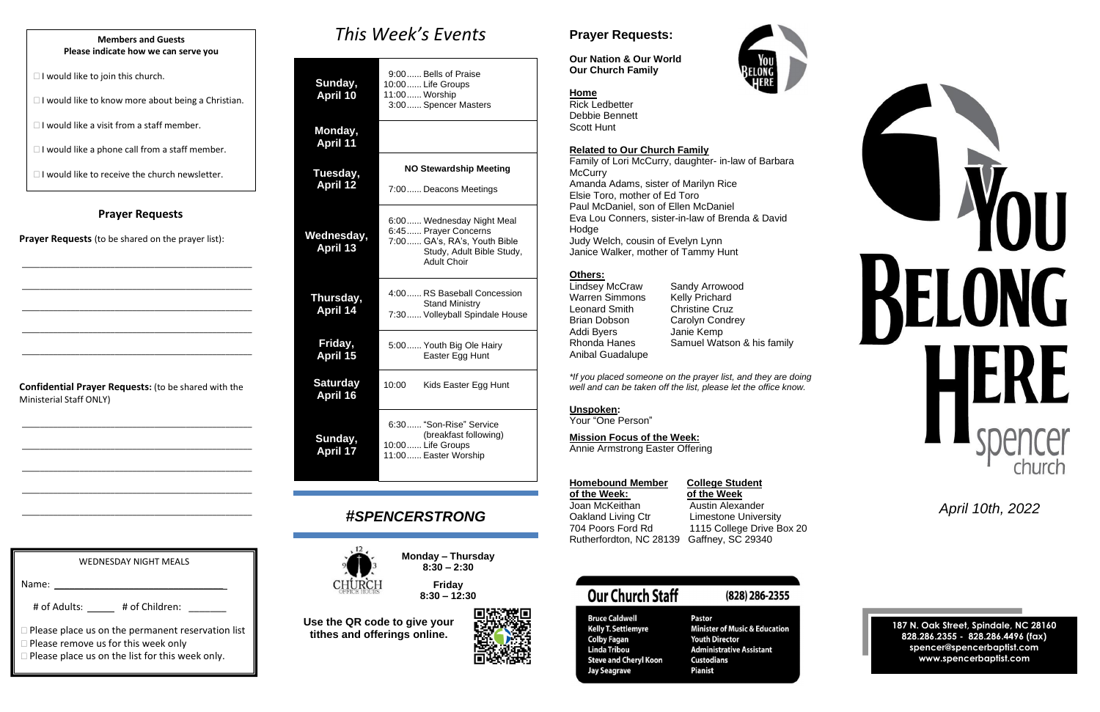### **Prayer Requests**

**Prayer Requests** (to be shared on the prayer list):

\_\_\_\_\_\_\_\_\_\_\_\_\_\_\_\_\_\_\_\_\_\_\_\_\_\_\_\_\_\_\_\_\_\_\_\_\_\_\_\_\_\_\_\_\_\_\_\_\_\_\_\_

\_\_\_\_\_\_\_\_\_\_\_\_\_\_\_\_\_\_\_\_\_\_\_\_\_\_\_\_\_\_\_\_\_\_\_\_\_\_\_\_\_\_\_\_\_\_\_\_\_\_\_\_

\_\_\_\_\_\_\_\_\_\_\_\_\_\_\_\_\_\_\_\_\_\_\_\_\_\_\_\_\_\_\_\_\_\_\_\_\_\_\_\_\_\_\_\_\_\_\_\_\_\_\_\_

\_\_\_\_\_\_\_\_\_\_\_\_\_\_\_\_\_\_\_\_\_\_\_\_\_\_\_\_\_\_\_\_\_\_\_\_\_\_\_\_\_\_\_\_\_\_\_\_\_\_\_\_

\_\_\_\_\_\_\_\_\_\_\_\_\_\_\_\_\_\_\_\_\_\_\_\_\_\_\_\_\_\_\_\_\_\_\_\_\_\_\_\_\_\_\_\_\_\_\_\_\_\_\_\_

**Confidential Prayer Requests:** (to be shared with the Ministerial Staff ONLY)

\_\_\_\_\_\_\_\_\_\_\_\_\_\_\_\_\_\_\_\_\_\_\_\_\_\_\_\_\_\_\_\_\_\_\_\_\_\_\_\_\_\_\_\_\_\_\_\_\_\_\_\_

\_\_\_\_\_\_\_\_\_\_\_\_\_\_\_\_\_\_\_\_\_\_\_\_\_\_\_\_\_\_\_\_\_\_\_\_\_\_\_\_\_\_\_\_\_\_\_\_\_\_\_\_

\_\_\_\_\_\_\_\_\_\_\_\_\_\_\_\_\_\_\_\_\_\_\_\_\_\_\_\_\_\_\_\_\_\_\_\_\_\_\_\_\_\_\_\_\_\_\_\_\_\_\_\_

\_\_\_\_\_\_\_\_\_\_\_\_\_\_\_\_\_\_\_\_\_\_\_\_\_\_\_\_\_\_\_\_\_\_\_\_\_\_\_\_\_\_\_\_\_\_\_\_\_\_\_\_

\_\_\_\_\_\_\_\_\_\_\_\_\_\_\_\_\_\_\_\_\_\_\_\_\_\_\_\_\_\_\_\_\_\_\_\_\_\_\_\_\_\_\_\_\_\_\_\_\_\_\_\_

*This Week's Events*

### **Sunday, April 10** 9:00...... Bells of Praise 10:00...... Life Groups 11:00...... Worship 3:00...... Spencer Masters **Monday, April 11 Tuesday, April 12 NO Stewardship Meeting** 7:00...... Deacons Meetings **Wednesday, April 13** 6:00...... Wednesday Night Meal 6:45...... Prayer Concerns 7:00...... GA's, RA's, Youth Bible Study, Adult Bible Study,

Warren Simmons Kelly Prichard Leonard Smith Christine Cruz Brian Dobson Carolyn Condrey Addi Byers Janie Kemp Anibal Guadalupe

### **College Student of the Week: of the Week**

Austin Alexander Limestone University 1115 College Drive Box 20 39 Gaffney, SC 29340

### **Our Church Staff**

**Bruce Caldwell** 

**Colby Fagan** 

Linda Tribou

|                                            |       | oluuy, Audit Dibio Oluuy,<br><b>Adult Choir</b>                                               |
|--------------------------------------------|-------|-----------------------------------------------------------------------------------------------|
| Thursday,<br><b>April 14</b>               |       | 4:00  RS Baseball Concession<br><b>Stand Ministry</b><br>7:30 Volleyball Spindale House       |
| Friday,<br>April 15                        |       | 5:00 Youth Big Ole Hairy<br>Easter Egg Hunt                                                   |
| <b>Saturday</b><br><b>April 16</b>         | 10:00 | Kids Easter Egg Hunt                                                                          |
| Sunday,<br>$\overline{17}$<br><b>April</b> |       | 6:30 "Son-Rise" Service<br>(breakfast following)<br>10:00 Life Groups<br>11:00 Easter Worship |

**Jay Seagrave** 

**Kelly T. Settlemyre** 

**Steve and Cheryl Koon** 

### (828) 286-2355

**Pastor Minister of Music & Education Youth Director Administrative Assistant Custodians Pianist** 

### *#SPENCERSTRONG*



**Monday – Thursday 8:30 – 2:30**

### **Friday 8:30 – 12:30**



# # of Adults: \_\_\_\_\_ # of Children: \_\_\_\_\_\_

**Please place us on the permanent reservation list** 

□ Please remove us for this week only

Name:

**Use the QR code to give your tithes and offerings online.**



### **Prayer Requests:**

**Our Nation & Our World Our Church Family**



**Home** Rick Ledbetter Debbie Bennett Scott Hunt

### **Related to Our Church Family**

Family of Lori McCurry, daughter- in-law of Barbara **McCurry** Amanda Adams, sister of Marilyn Rice Elsie Toro, mother of Ed Toro Paul McDaniel, son of Ellen McDaniel Eva Lou Conners, sister-in-law of Brenda & David Hodge Judy Welch, cousin of Evelyn Lynn Janice Walker, mother of Tammy Hunt

### **Others:**

Lindsey McCraw Sandy Arrowood Rhonda Hanes Samuel Watson & his family

*\*If you placed someone on the prayer list, and they are doing well and can be taken off the list, please let the office know.*

### **Unspoken:**

Your "One Person"

### **Mission Focus of the Week:**

Annie Armstrong Easter Offering

| <b>Homebound Member</b> |
|-------------------------|
| of the Week:            |
| Joan McKeithan          |
| Oakland Living Ctr      |
| 704 Poors Ford Rd       |
| Rutherfordton, NC 281:  |

 *April 10th, 2022*

**187 N. Oak Street, Spindale, NC 28160 828.286.2355 - 828.286.4496 (fax) spencer@spencerbaptist.com www.spencerbaptist.com**

### **Members and Guests Please indicate how we can serve you**

 $\Box$  I would like to join this church.

 $\Box$  I would like to know more about being a Christian.

 $\Box$  I would like a visit from a staff member.

 $\Box$  I would like a phone call from a staff member.

 $\Box$  I would like to receive the church newsletter.

WEDNESDAY NIGHT MEALS

Please place us on the list for this week only.